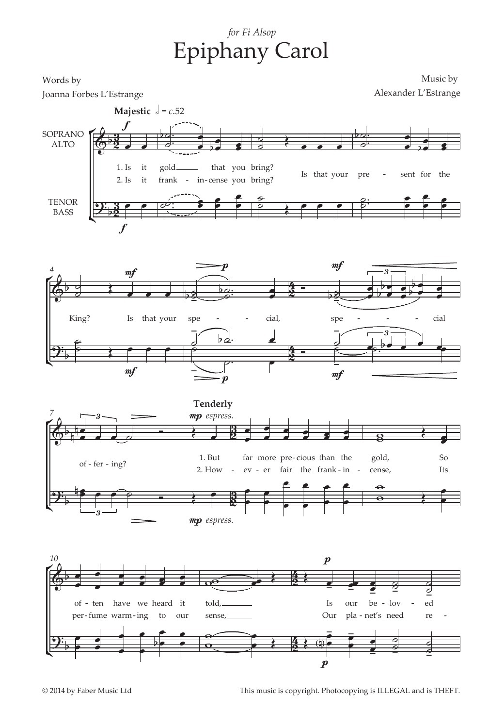## for Fi Alsop Epiphany Carol